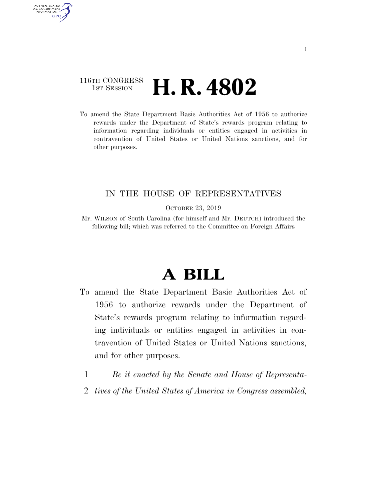## 116TH CONGRESS **1st Session H. R. 4802**

AUTHENTICATED U.S. GOVERNMENT **GPO** 

> To amend the State Department Basic Authorities Act of 1956 to authorize rewards under the Department of State's rewards program relating to information regarding individuals or entities engaged in activities in contravention of United States or United Nations sanctions, and for other purposes.

## IN THE HOUSE OF REPRESENTATIVES

OCTOBER 23, 2019

Mr. WILSON of South Carolina (for himself and Mr. DEUTCH) introduced the following bill; which was referred to the Committee on Foreign Affairs

## **A BILL**

- To amend the State Department Basic Authorities Act of 1956 to authorize rewards under the Department of State's rewards program relating to information regarding individuals or entities engaged in activities in contravention of United States or United Nations sanctions, and for other purposes.
	- 1 *Be it enacted by the Senate and House of Representa-*
	- 2 *tives of the United States of America in Congress assembled,*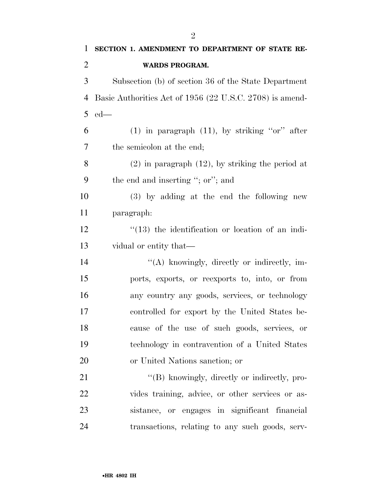| 1              | SECTION 1. AMENDMENT TO DEPARTMENT OF STATE RE-          |
|----------------|----------------------------------------------------------|
| $\overline{2}$ | <b>WARDS PROGRAM.</b>                                    |
| 3              | Subsection (b) of section 36 of the State Department     |
| $\overline{4}$ | Basic Authorities Act of 1956 (22 U.S.C. 2708) is amend- |
| 5              | $ed$ —                                                   |
| 6              | $(1)$ in paragraph $(11)$ , by striking "or" after       |
| 7              | the semicolon at the end;                                |
| 8              | $(2)$ in paragraph $(12)$ , by striking the period at    |
| 9              | the end and inserting "; or"; and                        |
| 10             | (3) by adding at the end the following new               |
| 11             | paragraph:                                               |
| 12             | $\cdot$ (13) the identification or location of an indi-  |
| 13             | vidual or entity that—                                   |
| 14             | "(A) knowingly, directly or indirectly, im-              |
| 15             | ports, exports, or reexports to, into, or from           |
| 16             | any country any goods, services, or technology           |
| 17             | controlled for export by the United States be-           |
| 18             | cause of the use of such goods, services, or             |
| 19             | technology in contravention of a United States           |
| 20             | or United Nations sanction; or                           |
| 21             | "(B) knowingly, directly or indirectly, pro-             |
| 22             | vides training, advice, or other services or as-         |
| 23             | sistance, or engages in significant financial            |
| 24             | transactions, relating to any such goods, serv-          |